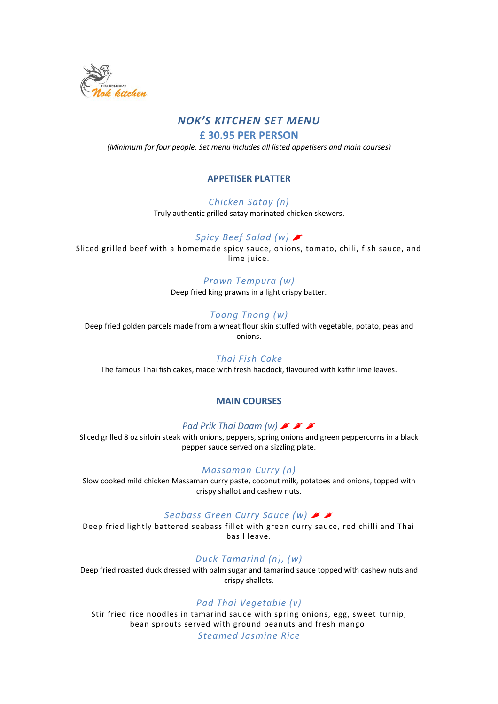

## *NOK'S KITCHEN SET MENU*

**£ 30.95 PER PERSON**

*(Minimum for four people. Set menu includes all listed appetisers and main courses)*

### **APPETISER PLATTER**

#### *Chicken Satay (n)*

Truly authentic grilled satay marinated chicken skewers.

## *Spicy Beef Salad (w)*

Sliced grilled beef with a homemade spicy sauce, onions, tomato, chili, fish sauce, and lime juice.

#### *Prawn Tempura (w)*

Deep fried king prawns in a light crispy batter.

#### *Toong Thong (w)*

Deep fried golden parcels made from a wheat flour skin stuffed with vegetable, potato, peas and onions.

#### *Thai Fish Cake*

The famous Thai fish cakes, made with fresh haddock, flavoured with kaffir lime leaves.

#### **MAIN COURSES**

#### *Pad Prik Thai Daam (w)*

Sliced grilled 8 oz sirloin steak with onions, peppers, spring onions and green peppercorns in a black pepper sauce served on a sizzling plate.

#### *Massaman Curry (n)*

Slow cooked mild chicken Massaman curry paste, coconut milk, potatoes and onions, topped with crispy shallot and cashew nuts.

#### *Seabass Green Curry Sauce (w)*

Deep fried lightly battered seabass fillet with green curry sauce, red chilli and Thai basil leave.

#### *Duck Tamarind (n), (w)*

Deep fried roasted duck dressed with palm sugar and tamarind sauce topped with cashew nuts and crispy shallots.

#### *Pad Thai Vegetable (v)*

Stir fried rice noodles in tamarind sauce with spring onions, egg, sweet turnip, bean sprouts served with ground peanuts and fresh mango. *Steamed Jasmine Rice*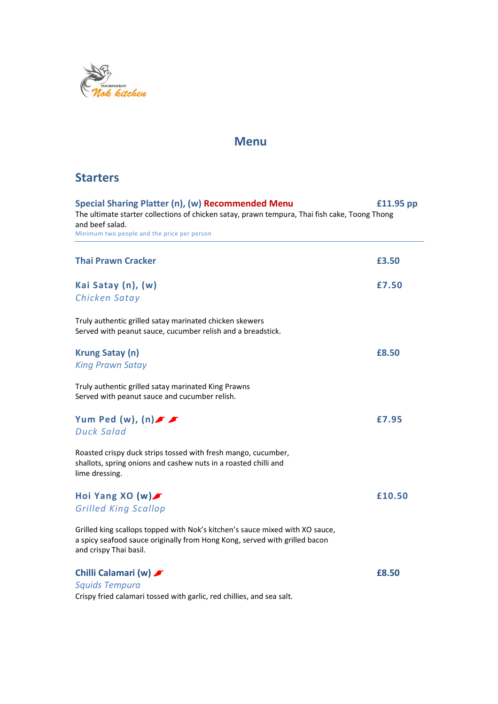

# **Menu**

# **Starters**

| Special Sharing Platter (n), (w) Recommended Menu<br>£11.95 pp<br>The ultimate starter collections of chicken satay, prawn tempura, Thai fish cake, Toong Thong<br>and beef salad.<br>Minimum two people and the price per person |        |
|-----------------------------------------------------------------------------------------------------------------------------------------------------------------------------------------------------------------------------------|--------|
|                                                                                                                                                                                                                                   |        |
| <b>Thai Prawn Cracker</b>                                                                                                                                                                                                         | £3.50  |
| Kai Satay (n), (w)<br>Chicken Satay                                                                                                                                                                                               | £7.50  |
| Truly authentic grilled satay marinated chicken skewers<br>Served with peanut sauce, cucumber relish and a breadstick.                                                                                                            |        |
| <b>Krung Satay (n)</b><br><b>King Prawn Satay</b>                                                                                                                                                                                 | £8.50  |
| Truly authentic grilled satay marinated King Prawns<br>Served with peanut sauce and cucumber relish.                                                                                                                              |        |
| Yum Ped (w), $(n)$ or<br><b>Duck Salad</b>                                                                                                                                                                                        | £7.95  |
| Roasted crispy duck strips tossed with fresh mango, cucumber,<br>shallots, spring onions and cashew nuts in a roasted chilli and<br>lime dressing.                                                                                |        |
| Hoi Yang XO $(w)$<br><b>Grilled King Scallop</b>                                                                                                                                                                                  | £10.50 |
| Grilled king scallops topped with Nok's kitchen's sauce mixed with XO sauce,<br>a spicy seafood sauce originally from Hong Kong, served with grilled bacon<br>and crispy Thai basil.                                              |        |
| Chilli Calamari (w)<br><b>Squids Tempura</b>                                                                                                                                                                                      | £8.50  |

Crispy fried calamari tossed with garlic, red chillies, and sea salt.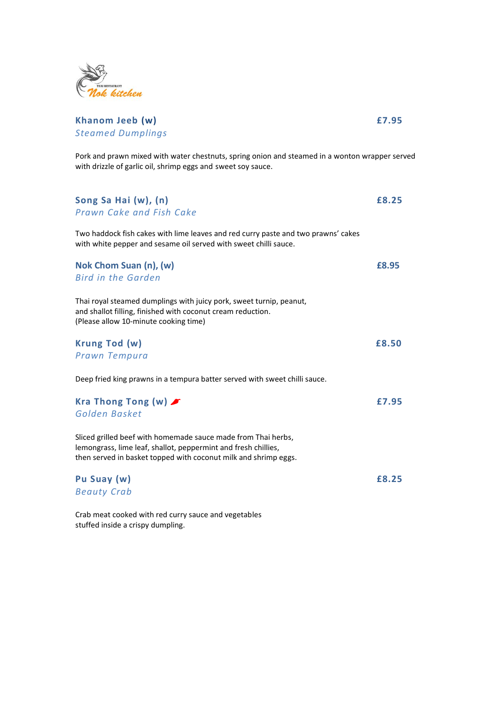

### **Khanom Jeeb (w) £7.95** *Steamed Dumplings*

Pork and prawn mixed with water chestnuts, spring onion and steamed in a wonton wrapper served with drizzle of garlic oil, shrimp eggs and sweet soy sauce.

| Song Sa Hai (w), (n)<br>Prawn Cake and Fish Cake                                                                                                                                                   | £8.25        |
|----------------------------------------------------------------------------------------------------------------------------------------------------------------------------------------------------|--------------|
| Two haddock fish cakes with lime leaves and red curry paste and two prawns' cakes<br>with white pepper and sesame oil served with sweet chilli sauce.                                              |              |
| Nok Chom Suan (n), (w)<br><b>Bird in the Garden</b>                                                                                                                                                | £8.95        |
| Thai royal steamed dumplings with juicy pork, sweet turnip, peanut,<br>and shallot filling, finished with coconut cream reduction.<br>(Please allow 10-minute cooking time)                        |              |
| Krung Tod (w)<br>Prawn Tempura                                                                                                                                                                     | £8.50        |
| Deep fried king prawns in a tempura batter served with sweet chilli sauce.                                                                                                                         |              |
| Kra Thong Tong (w) $\blacktriangleright$<br>Golden Basket                                                                                                                                          | £7.95        |
| Sliced grilled beef with homemade sauce made from Thai herbs,<br>lemongrass, lime leaf, shallot, peppermint and fresh chillies,<br>then served in basket topped with coconut milk and shrimp eggs. |              |
| Pu Suay (w)<br><b>Beauty Crab</b>                                                                                                                                                                  | <b>£8.25</b> |
| Crab meat cooked with red curry sauce and vegetables                                                                                                                                               |              |

stuffed inside a crispy dumpling.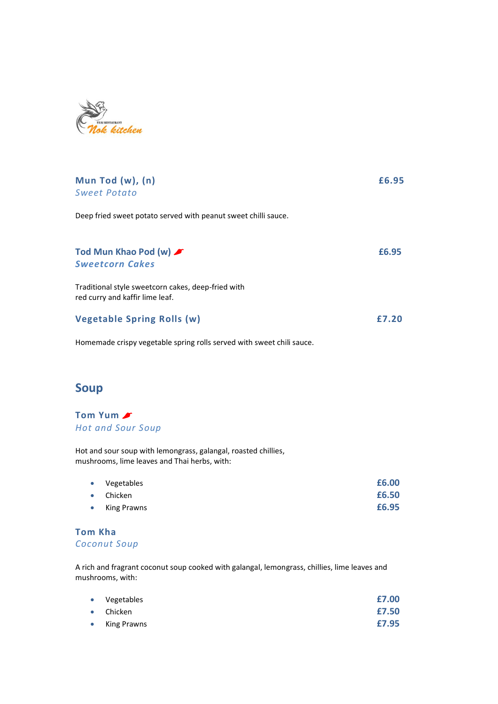

| Mun Tod (w), (n)<br><b>Sweet Potato</b>                                               | £6.95 |
|---------------------------------------------------------------------------------------|-------|
| Deep fried sweet potato served with peanut sweet chilli sauce.                        |       |
| Tod Mun Khao Pod (w)<br><b>Sweetcorn Cakes</b>                                        | £6.95 |
| Traditional style sweetcorn cakes, deep-fried with<br>red curry and kaffir lime leaf. |       |
| Vegetable Spring Rolls (w)                                                            | £7.20 |

Homemade crispy vegetable spring rolls served with sweet chili sauce.

# **Soup**

### **Tom Yum** *Hot and Sour Soup*

Hot and sour soup with lemongrass, galangal, roasted chillies, mushrooms, lime leaves and Thai herbs, with:

| • Vegetables      | £6.00 |
|-------------------|-------|
| $\bullet$ Chicken | £6.50 |
| • King Prawns     | £6.95 |

### **Tom Kha** *Coconut Soup*

A rich and fragrant coconut soup cooked with galangal, lemongrass, chillies, lime leaves and mushrooms, with:

|           | • Vegetables      | £7.00 |
|-----------|-------------------|-------|
|           | $\bullet$ Chicken | £7.50 |
| $\bullet$ | King Prawns       | £7.95 |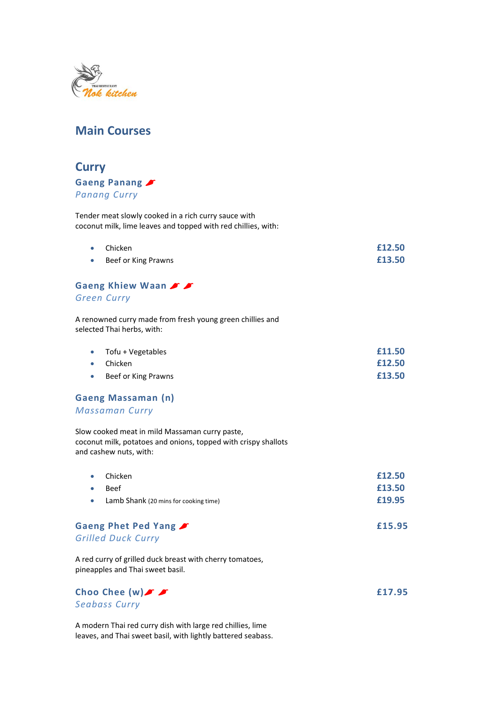

# **Main Courses**

# **Curry Gaeng Panang** *Panang Curry*

Tender meat slowly cooked in a rich curry sauce with coconut milk, lime leaves and topped with red chillies, with:

| $\bullet$ Chicken     | £12.50 |
|-----------------------|--------|
| • Beef or King Prawns | £13.50 |

#### **Gaeng Khiew Waan**

#### *Green Curry*

A renowned curry made from fresh young green chillies and selected Thai herbs, with:

| $\bullet$ Tofu + Vegetables | £11.50 |
|-----------------------------|--------|
| $\bullet$ Chicken           | £12.50 |
| Beef or King Prawns         | £13.50 |

#### **Gaeng Massaman (n)**

*Massaman Curry*

Slow cooked meat in mild Massaman curry paste, coconut milk, potatoes and onions, topped with crispy shallots and cashew nuts, with:

| $\bullet$ | Chicken                               | £12.50 |
|-----------|---------------------------------------|--------|
| $\bullet$ | <b>Beef</b>                           | £13.50 |
|           | Lamb Shank (20 mins for cooking time) | £19.95 |

Gaeng Phet Ped Yang  $\sqrt{2}$ *Grilled Duck Curry*

A red curry of grilled duck breast with cherry tomatoes, pineapples and Thai sweet basil.



A modern Thai red curry dish with large red chillies, lime leaves, and Thai sweet basil, with lightly battered seabass.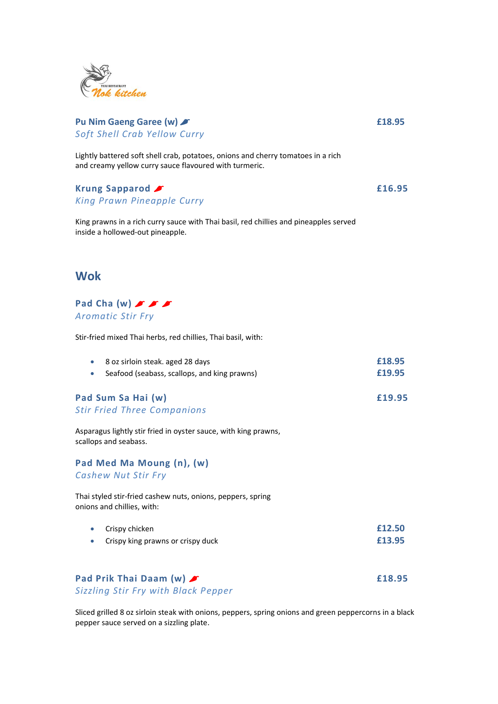

### **Pu Nim Gaeng Garee (w)** *£ £18.95 Soft Shell Crab Yellow Curry*

Lightly battered soft shell crab, potatoes, onions and cherry tomatoes in a rich and creamy yellow curry sauce flavoured with turmeric.

**Krung Sapparod** *£ King Prawn Pineapple Curry*

King prawns in a rich curry sauce with Thai basil, red chillies and pineapples served inside a hollowed-out pineapple.

## **Wok**

**Pad Cha (w)** *Aromatic Stir Fry*

Stir-fried mixed Thai herbs, red chillies, Thai basil, with:

| 8 oz sirloin steak. aged 28 days             | £18.95 |
|----------------------------------------------|--------|
| Seafood (seabass, scallops, and king prawns) | £19.95 |

#### **Pad Sum Sa Hai (w) £19.95** *Stir Fried Three Companions*

Asparagus lightly stir fried in oyster sauce, with king prawns, scallops and seabass.

**Pad Med Ma Moung (n), (w)** *Cashew Nut Stir Fry*

Thai styled stir-fried cashew nuts, onions, peppers, spring onions and chillies, with:

| $\bullet$ Crispy chicken            | £12.50 |
|-------------------------------------|--------|
| • Crispy king prawns or crispy duck | £13.95 |

## **Pad Prik Thai Daam (w) £18.95** *Sizzling Stir Fry with Black Pepper*

Sliced grilled 8 oz sirloin steak with onions, peppers, spring onions and green peppercorns in a black pepper sauce served on a sizzling plate.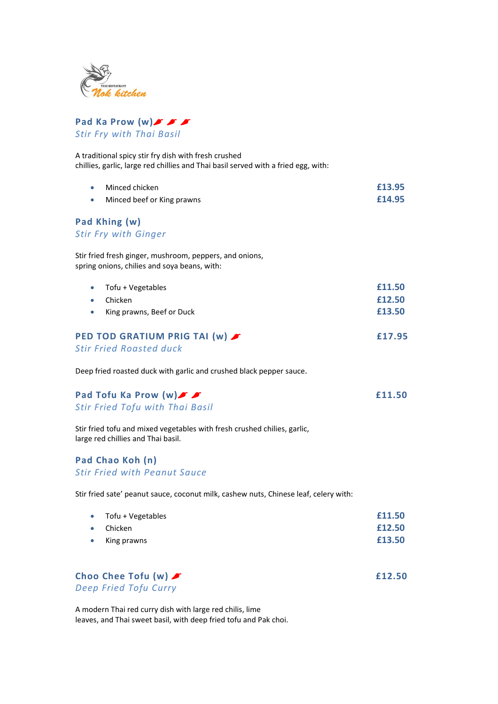



A traditional spicy stir fry dish with fresh crushed chillies, garlic, large red chillies and Thai basil served with a fried egg, with:

| Minced chicken             | £13.95 |
|----------------------------|--------|
| Minced beef or King prawns | £14.95 |

# **Pad Khing (w)**

*Stir Fry with Ginger*

Stir fried fresh ginger, mushroom, peppers, and onions, spring onions, chilies and soya beans, with:

| • $Tofu + Vegetables$                  | £11.50 |
|----------------------------------------|--------|
| <b>Chicken</b>                         | £12.50 |
| King prawns, Beef or Duck<br>$\bullet$ | £13.50 |
| PED TOD GRATIUM PRIG TAI (w)           | £17.95 |

## *Stir Fried Roasted duck*

Deep fried roasted duck with garlic and crushed black pepper sauce.

| Pad Tofu Ka Prow (w) F          | £11.50 |
|---------------------------------|--------|
| Stir Fried Tofu with Thai Basil |        |

Stir fried tofu and mixed vegetables with fresh crushed chilies, garlic, large red chillies and Thai basil.

#### **Pad Chao Koh (n)** *Stir Fried with Peanut Sauce*

Stir fried sate' peanut sauce, coconut milk, cashew nuts, Chinese leaf, celery with:

| • $Tofu + Vegetables$ | £11.50 |
|-----------------------|--------|
| $\bullet$ Chicken     | £12.50 |
| King prawns           | £13.50 |

Choo Chee Tofu (w)  $\sqrt{ }$  **E12.50** *Deep Fried Tofu Curry*

A modern Thai red curry dish with large red chilis, lime leaves, and Thai sweet basil, with deep fried tofu and Pak choi.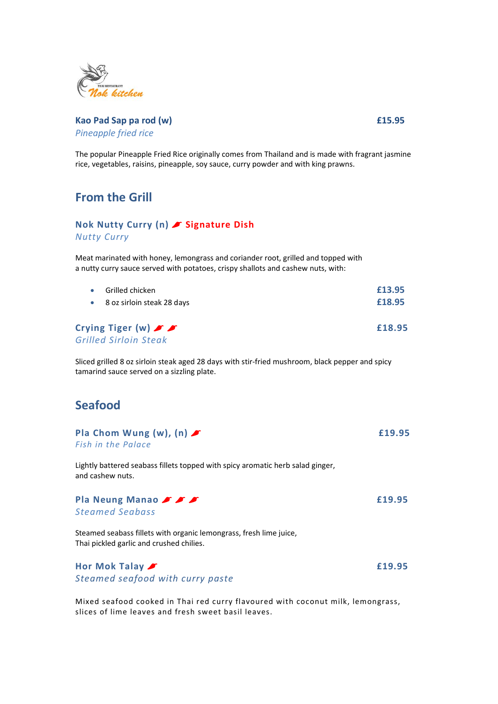

### **Kao Pad Sap pa rod (w) £15.95** *Pineapple fried rice*

The popular Pineapple Fried Rice originally comes from Thailand and is made with fragrant jasmine rice, vegetables, raisins, pineapple, soy sauce, curry powder and with king prawns.

## **From the Grill**

### **Nok Nutty Curry (n) Signature Dish** *Nutty Curry*

Meat marinated with honey, lemongrass and coriander root, grilled and topped with a nutty curry sauce served with potatoes, crispy shallots and cashew nuts, with:

| £13.95 |
|--------|
| £18.95 |
| £18.95 |
|        |

Sliced grilled 8 oz sirloin steak aged 28 days with stir-fried mushroom, black pepper and spicy tamarind sauce served on a sizzling plate.

## **Seafood**

|  | Pla Chom Wung (w), $(n)$ | £19.95 |
|--|--------------------------|--------|
|  | Fish in the Palace       |        |

Lightly battered seabass fillets topped with spicy aromatic herb salad ginger, and cashew nuts.

**Pla Neung Manao**  $\sqrt{2}$ *Steamed Seabass*

Steamed seabass fillets with organic lemongrass, fresh lime juice, Thai pickled garlic and crushed chilies.

**Hor Mok Talay 20 12:00 12:00 12:00 12:00 12:00 12:00 12:00 12:00 12:00 12:00 12:00 12:00 12:00 12:00 12:00 12:00 12:00 12:00 12:00 12:00 12:00 12:00 12:00 12:00 12:00 12:00 12:00 12:00 12:00 12:00 12:00 12:00 12:00 12:00** *Steamed seafood with curry paste*

Mixed seafood cooked in Thai red curry flavoured with coconut milk, lemongrass, slices of lime leaves and fresh sweet basil leaves.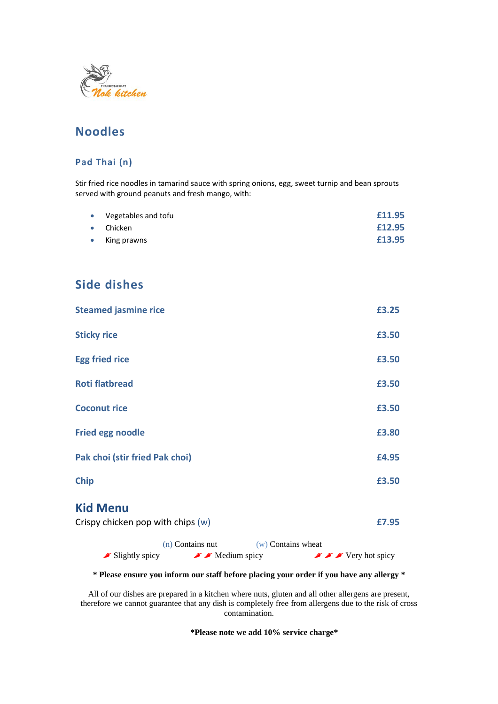

# **Noodles**

### **Pad Thai (n)**

Stir fried rice noodles in tamarind sauce with spring onions, egg, sweet turnip and bean sprouts served with ground peanuts and fresh mango, with:

|           | • Vegetables and tofu | £11.95 |
|-----------|-----------------------|--------|
|           | $\bullet$ Chicken     | £12.95 |
| $\bullet$ | King prawns           | £13.95 |

# **Side dishes**

| <b>Steamed jasmine rice</b>                          | £3.25 |
|------------------------------------------------------|-------|
| <b>Sticky rice</b>                                   | £3.50 |
| <b>Egg fried rice</b>                                | £3.50 |
| <b>Roti flatbread</b>                                | £3.50 |
| <b>Coconut rice</b>                                  | £3.50 |
| <b>Fried egg noodle</b>                              | £3.80 |
| Pak choi (stir fried Pak choi)                       | £4.95 |
| <b>Chip</b>                                          | £3.50 |
| <b>Kid Menu</b><br>Crispy chicken pop with chips (w) | £7.95 |

|                                      | (n) Contains nut                   | $(w)$ Contains wheat |                                                                                                        |  |
|--------------------------------------|------------------------------------|----------------------|--------------------------------------------------------------------------------------------------------|--|
| $\blacktriangleright$ Slightly spicy | $\blacktriangleright$ Medium spicy |                      | $\blacktriangleright$ $\blacktriangleright$ $\blacktriangleright$ $\blacktriangleright$ Very hot spicy |  |

**\* Please ensure you inform our staff before placing your order if you have any allergy \***

All of our dishes are prepared in a kitchen where nuts, gluten and all other allergens are present, therefore we cannot guarantee that any dish is completely free from allergens due to the risk of cross contamination.

**\*Please note we add 10% service charge\***